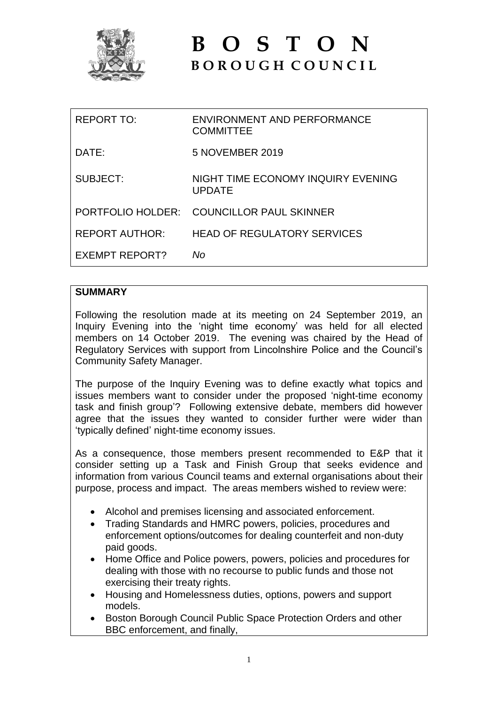

# **B O S T O N B O R O U G H C O U N C I L**

| REPORT TO:            | ENVIRONMENT AND PERFORMANCE<br><b>COMMITTEE</b> |
|-----------------------|-------------------------------------------------|
| DATE:                 | 5 NOVEMBER 2019                                 |
| SUBJECT:              | NIGHT TIME ECONOMY INQUIRY EVENING<br>UPDATE    |
|                       | PORTFOLIO HOLDER: COUNCILLOR PAUL SKINNER       |
| REPORT AUTHOR:        | <b>HEAD OF REGULATORY SERVICES</b>              |
| <b>EXEMPT REPORT?</b> | Nο                                              |

# **SUMMARY**

Following the resolution made at its meeting on 24 September 2019, an Inquiry Evening into the 'night time economy' was held for all elected members on 14 October 2019. The evening was chaired by the Head of Regulatory Services with support from Lincolnshire Police and the Council's Community Safety Manager.

The purpose of the Inquiry Evening was to define exactly what topics and issues members want to consider under the proposed 'night-time economy task and finish group'? Following extensive debate, members did however agree that the issues they wanted to consider further were wider than 'typically defined' night-time economy issues.

As a consequence, those members present recommended to E&P that it consider setting up a Task and Finish Group that seeks evidence and information from various Council teams and external organisations about their purpose, process and impact. The areas members wished to review were:

- Alcohol and premises licensing and associated enforcement.
- Trading Standards and HMRC powers, policies, procedures and enforcement options/outcomes for dealing counterfeit and non-duty paid goods.
- Home Office and Police powers, powers, policies and procedures for dealing with those with no recourse to public funds and those not exercising their treaty rights.
- Housing and Homelessness duties, options, powers and support models.
- Boston Borough Council Public Space Protection Orders and other BBC enforcement, and finally,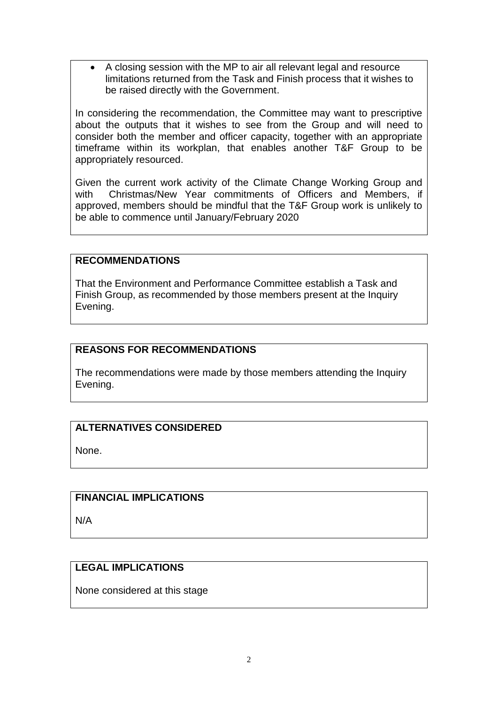A closing session with the MP to air all relevant legal and resource limitations returned from the Task and Finish process that it wishes to be raised directly with the Government.

In considering the recommendation, the Committee may want to prescriptive about the outputs that it wishes to see from the Group and will need to consider both the member and officer capacity, together with an appropriate timeframe within its workplan, that enables another T&F Group to be appropriately resourced.

Given the current work activity of the Climate Change Working Group and with Christmas/New Year commitments of Officers and Members, if approved, members should be mindful that the T&F Group work is unlikely to be able to commence until January/February 2020

## **RECOMMENDATIONS**

That the Environment and Performance Committee establish a Task and Finish Group, as recommended by those members present at the Inquiry Evening.

## **REASONS FOR RECOMMENDATIONS**

The recommendations were made by those members attending the Inquiry Evening.

# **ALTERNATIVES CONSIDERED**

None.

# **FINANCIAL IMPLICATIONS**

N/A

#### **LEGAL IMPLICATIONS**

None considered at this stage